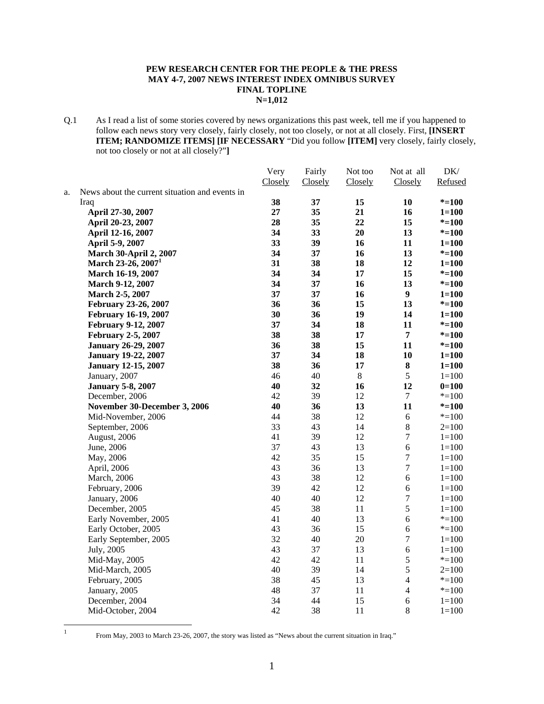## **PEW RESEARCH CENTER FOR THE PEOPLE & THE PRESS MAY 4-7, 2007 NEWS INTEREST INDEX OMNIBUS SURVEY FINAL TOPLINE N=1,012**

Q.1 As I read a list of some stories covered by news organizations this past week, tell me if you happened to follow each news story very closely, fairly closely, not too closely, or not at all closely. First, **[INSERT ITEM; RANDOMIZE ITEMS] [IF NECESSARY** "Did you follow **[ITEM]** very closely, fairly closely, not too closely or not at all closely?"**]**

|    |                                                | Very    | Fairly  | Not too | Not at all       | DK/       |
|----|------------------------------------------------|---------|---------|---------|------------------|-----------|
|    |                                                | Closely | Closely | Closely | Closely          | Refused   |
| a. | News about the current situation and events in |         |         |         |                  |           |
|    | Iraq                                           | 38      | 37      | 15      | 10               | $* = 100$ |
|    | April 27-30, 2007                              | 27      | 35      | 21      | 16               | $1 = 100$ |
|    | April 20-23, 2007                              | 28      | 35      | 22      | 15               | $* = 100$ |
|    | April 12-16, 2007                              | 34      | 33      | 20      | 13               | $* = 100$ |
|    | April 5-9, 2007                                | 33      | 39      | 16      | 11               | $1 = 100$ |
|    | <b>March 30-April 2, 2007</b>                  | 34      | 37      | 16      | 13               | $* = 100$ |
|    | March 23-26, 2007 <sup>1</sup>                 | 31      | 38      | 18      | 12               | $1 = 100$ |
|    | March 16-19, 2007                              | 34      | 34      | 17      | 15               | $* = 100$ |
|    | March 9-12, 2007                               | 34      | 37      | 16      | 13               | $* = 100$ |
|    | March 2-5, 2007                                | 37      | 37      | 16      | 9                | $1 = 100$ |
|    | February 23-26, 2007                           | 36      | 36      | 15      | 13               | $* = 100$ |
|    | <b>February 16-19, 2007</b>                    | 30      | 36      | 19      | 14               | $1 = 100$ |
|    | February 9-12, 2007                            | 37      | 34      | 18      | 11               | $* = 100$ |
|    | <b>February 2-5, 2007</b>                      | 38      | 38      | 17      | $\overline{7}$   | $* = 100$ |
|    | <b>January 26-29, 2007</b>                     | 36      | 38      | 15      | 11               | $* = 100$ |
|    | <b>January 19-22, 2007</b>                     | 37      | 34      | 18      | 10               | $1 = 100$ |
|    | <b>January 12-15, 2007</b>                     | 38      | 36      | 17      | $\bf 8$          | $1 = 100$ |
|    | January, 2007                                  | 46      | 40      | $8\,$   | 5                | $1 = 100$ |
|    | <b>January 5-8, 2007</b>                       | 40      | 32      | 16      | 12               | $0=100$   |
|    | December, 2006                                 | 42      | 39      | 12      | 7                | $* = 100$ |
|    | November 30-December 3, 2006                   | 40      | 36      | 13      | 11               | $* = 100$ |
|    | Mid-November, 2006                             | 44      | 38      | 12      | 6                | $* = 100$ |
|    | September, 2006                                | 33      | 43      | 14      | $8\,$            | $2=100$   |
|    | August, 2006                                   | 41      | 39      | 12      | $\tau$           | $1 = 100$ |
|    | June, 2006                                     | 37      | 43      | 13      | 6                | $1 = 100$ |
|    | May, 2006                                      | 42      | 35      | 15      | $\boldsymbol{7}$ | $1 = 100$ |
|    | April, 2006                                    | 43      | 36      | 13      | $\boldsymbol{7}$ | $1 = 100$ |
|    | March, 2006                                    | 43      | 38      | 12      | 6                | $1 = 100$ |
|    | February, 2006                                 | 39      | 42      | 12      | $\sqrt{6}$       | $1 = 100$ |
|    | January, 2006                                  | 40      | 40      | 12      | $\boldsymbol{7}$ | $1 = 100$ |
|    | December, 2005                                 | 45      | 38      | 11      | 5                | $1 = 100$ |
|    | Early November, 2005                           | 41      | 40      | 13      | $\sqrt{6}$       | $* = 100$ |
|    | Early October, 2005                            | 43      | 36      | 15      | $\epsilon$       | $* = 100$ |
|    | Early September, 2005                          | 32      | 40      | 20      | $\boldsymbol{7}$ | $1 = 100$ |
|    | July, 2005                                     | 43      | 37      | 13      | $\sqrt{6}$       | $1=100$   |
|    | Mid-May, 2005                                  | 42      | 42      | 11      | 5                | $* = 100$ |
|    | Mid-March, 2005                                | 40      | 39      | 14      | 5                | $2=100$   |
|    | February, 2005                                 | 38      | 45      | 13      | $\overline{4}$   | $* = 100$ |
|    | January, 2005                                  | 48      | 37      | 11      | $\overline{4}$   | $* = 100$ |
|    | December, 2004                                 | 34      | 44      | 15      | $\sqrt{6}$       | $1 = 100$ |
|    | Mid-October, 2004                              | 42      | 38      | 11      | 8                | $1 = 100$ |
|    |                                                |         |         |         |                  |           |

 $\frac{1}{1}$ 

From May, 2003 to March 23-26, 2007, the story was listed as "News about the current situation in Iraq."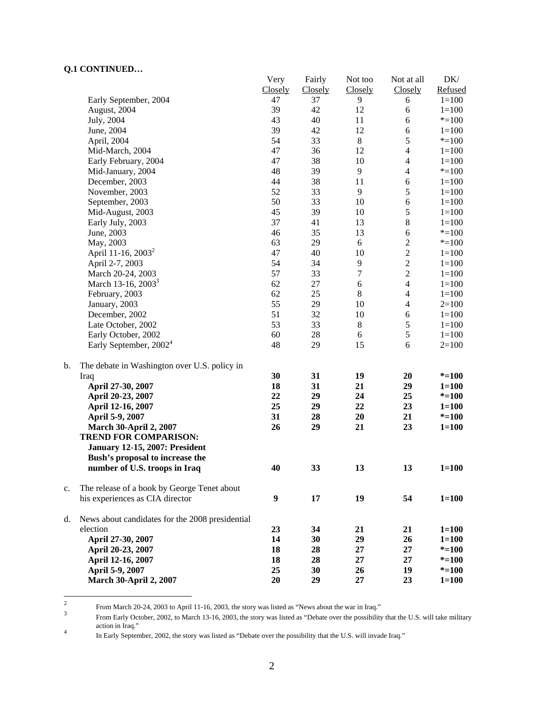## **Q.1 CONTINUED…**

|    |                                                 | Very    | Fairly  | Not too          | Not at all               | DK/       |
|----|-------------------------------------------------|---------|---------|------------------|--------------------------|-----------|
|    |                                                 | Closely | Closely | Closely          | Closely                  | Refused   |
|    | Early September, 2004                           | 47      | 37      | 9                | 6                        | $1 = 100$ |
|    | August, 2004                                    | 39      | 42      | 12               | 6                        | $1 = 100$ |
|    | July, 2004                                      | 43      | 40      | 11               | 6                        | $* = 100$ |
|    | June, 2004                                      | 39      | 42      | 12               | 6                        | $1 = 100$ |
|    | April, 2004                                     | 54      | 33      | $\,8\,$          | 5                        | $* = 100$ |
|    | Mid-March, 2004                                 | 47      | 36      | 12               | $\overline{4}$           | $1 = 100$ |
|    | Early February, 2004                            | 47      | 38      | 10               | $\overline{4}$           | $1 = 100$ |
|    | Mid-January, 2004                               | 48      | 39      | 9                | $\overline{\mathcal{L}}$ | $* = 100$ |
|    | December, 2003                                  | 44      | 38      | 11               | $\boldsymbol{6}$         | $1 = 100$ |
|    | November, 2003                                  | 52      | 33      | $\overline{9}$   | $\mathfrak s$            | $1 = 100$ |
|    | September, 2003                                 | 50      | 33      | 10               | 6                        | $1 = 100$ |
|    | Mid-August, 2003                                | 45      | 39      | 10               | 5                        | $1 = 100$ |
|    | Early July, 2003                                | 37      | 41      | 13               | $8\,$                    | $1 = 100$ |
|    | June, 2003                                      | 46      | 35      | 13               | $\sqrt{6}$               | $* = 100$ |
|    | May, 2003                                       | 63      | 29      | 6                | $\overline{c}$           | $* = 100$ |
|    | April 11-16, 2003 <sup>2</sup>                  | 47      | 40      | 10               | $\overline{c}$           | $1 = 100$ |
|    | April 2-7, 2003                                 | 54      | 34      | $\overline{9}$   | $\overline{c}$           | $1 = 100$ |
|    | March 20-24, 2003                               | 57      | 33      | $\boldsymbol{7}$ | $\overline{c}$           | $1 = 100$ |
|    | March 13-16, 2003 <sup>3</sup>                  | 62      | 27      | $\sqrt{6}$       | $\overline{\mathbf{4}}$  | $1 = 100$ |
|    | February, 2003                                  | 62      | 25      | $\,8\,$          | $\overline{\mathcal{L}}$ | $1 = 100$ |
|    | January, 2003                                   | 55      | 29      | 10               | $\overline{4}$           | $2=100$   |
|    | December, 2002                                  | 51      | 32      | 10               | 6                        | $1 = 100$ |
|    | Late October, 2002                              | 53      | 33      | $8\,$            |                          |           |
|    |                                                 |         |         |                  | $\sqrt{5}$               | $1 = 100$ |
|    | Early October, 2002                             | 60      | 28      | $\boldsymbol{6}$ | $\sqrt{5}$               | $1 = 100$ |
|    | Early September, 2002 <sup>4</sup>              | 48      | 29      | 15               | 6                        | $2=100$   |
| b. |                                                 |         |         |                  |                          |           |
|    | The debate in Washington over U.S. policy in    | 30      | 31      | 19               | 20                       | $* = 100$ |
|    | Iraq<br>April 27-30, 2007                       | 18      | 31      | 21               | 29                       | $1 = 100$ |
|    |                                                 | 22      | 29      | 24               | 25                       | $* = 100$ |
|    | April 20-23, 2007                               | 25      | 29      | 22               |                          |           |
|    | April 12-16, 2007                               | 31      | 28      | 20               | 23<br>21                 | $1 = 100$ |
|    | April 5-9, 2007                                 |         |         |                  |                          | $* = 100$ |
|    | <b>March 30-April 2, 2007</b>                   | 26      | 29      | 21               | 23                       | $1 = 100$ |
|    | <b>TREND FOR COMPARISON:</b>                    |         |         |                  |                          |           |
|    | <b>January 12-15, 2007: President</b>           |         |         |                  |                          |           |
|    | Bush's proposal to increase the                 |         |         |                  |                          |           |
|    | number of U.S. troops in Iraq                   | 40      | 33      | 13               | 13                       | $1 = 100$ |
| c. | The release of a book by George Tenet about     |         |         |                  |                          |           |
|    | his experiences as CIA director                 | 9       | 17      | 19               | 54                       | $1 = 100$ |
|    |                                                 |         |         |                  |                          |           |
| d. | News about candidates for the 2008 presidential |         |         |                  |                          |           |
|    | election                                        | 23      | 34      | 21               | 21                       | $1 = 100$ |
|    | April 27-30, 2007                               | 14      | 30      | 29               | 26                       | $1 = 100$ |
|    | April 20-23, 2007                               | 18      | 28      | 27               | 27                       | $* = 100$ |
|    | April 12-16, 2007                               | 18      | 28      | 27               | 27                       | $* = 100$ |
|    | April 5-9, 2007                                 | 25      | 30      | 26               | 19                       | $* = 100$ |
|    | <b>March 30-April 2, 2007</b>                   | 20      | 29      | 27               | 23                       | $1 = 100$ |
|    |                                                 |         |         |                  |                          |           |

 $\frac{1}{2}$ From March 20-24, 2003 to April 11-16, 2003, the story was listed as "News about the war in Iraq."

From Early October, 2002, to March 13-16, 2003, the story was listed as "Debate over the possibility that the U.S. will take military action in Iraq."

In Early September, 2002, the story was listed as "Debate over the possibility that the U.S. will invade Iraq."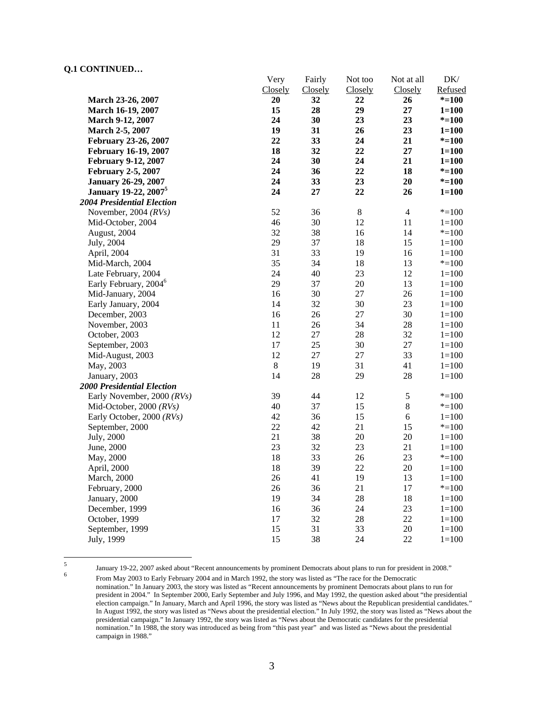## **Q.1 CONTINUED…**

|                                         | Very    | Fairly  | Not too     | Not at all     | DK/       |
|-----------------------------------------|---------|---------|-------------|----------------|-----------|
|                                         | Closely | Closely | Closely     | Closely        | Refused   |
| March 23-26, 2007                       | 20      | 32      | 22          | 26             | $* = 100$ |
| March 16-19, 2007                       | 15      | 28      | 29          | 27             | $1 = 100$ |
| March 9-12, 2007                        | 24      | 30      | 23          | 23             | $* = 100$ |
| March 2-5, 2007                         | 19      | 31      | 26          | 23             | $1 = 100$ |
| February 23-26, 2007                    | 22      | 33      | 24          | 21             | $* = 100$ |
| <b>February 16-19, 2007</b>             | 18      | 32      | 22          | 27             | $1 = 100$ |
| <b>February 9-12, 2007</b>              | 24      | 30      | 24          | 21             | $1 = 100$ |
| <b>February 2-5, 2007</b>               | 24      | 36      | 22          | 18             | $* = 100$ |
| <b>January 26-29, 2007</b>              | 24      | 33      | 23          | 20             | $* = 100$ |
| <b>January 19-22, 2007</b> <sup>5</sup> | 24      | 27      | 22          | 26             | $1 = 100$ |
| <b>2004 Presidential Election</b>       |         |         |             |                |           |
| November, 2004 $(RVs)$                  | 52      | 36      | $\,$ 8 $\,$ | $\overline{4}$ | $* = 100$ |
| Mid-October, 2004                       | 46      | 30      | 12          | 11             | $1 = 100$ |
| August, 2004                            | 32      | 38      | 16          | 14             | $* = 100$ |
| July, 2004                              | 29      | 37      | 18          | 15             | $1 = 100$ |
| April, 2004                             | 31      | 33      | 19          | 16             | $1 = 100$ |
| Mid-March, 2004                         | 35      | 34      | 18          | 13             | $* = 100$ |
| Late February, 2004                     | 24      | 40      | 23          | 12             | $1 = 100$ |
| Early February, 2004 <sup>6</sup>       | 29      | 37      | 20          | 13             | $1 = 100$ |
| Mid-January, 2004                       | 16      | 30      | 27          | 26             | $1 = 100$ |
| Early January, 2004                     | 14      | 32      | 30          | 23             | $1 = 100$ |
| December, 2003                          | 16      | 26      | 27          | 30             | $1 = 100$ |
| November, 2003                          | 11      | 26      | 34          | 28             | $1 = 100$ |
| October, 2003                           | 12      | 27      | 28          | 32             | $1 = 100$ |
| September, 2003                         | 17      | 25      | 30          | 27             | $1 = 100$ |
| Mid-August, 2003                        | 12      | 27      | 27          | 33             | $1 = 100$ |
| May, 2003                               | $\,8\,$ | 19      | 31          | 41             | $1 = 100$ |
| January, 2003                           | 14      | 28      | 29          | 28             | $1 = 100$ |
| <b>2000 Presidential Election</b>       |         |         |             |                |           |
| Early November, 2000 (RVs)              | 39      | 44      | 12          | $\sqrt{5}$     | $* = 100$ |
| Mid-October, 2000 (RVs)                 | 40      | 37      | 15          | $\,8\,$        | $* = 100$ |
| Early October, 2000 (RVs)               | 42      | 36      | 15          | $\sqrt{6}$     | $1 = 100$ |
| September, 2000                         | 22      | 42      | 21          | 15             | $* = 100$ |
| July, 2000                              | 21      | 38      | 20          | 20             | $1 = 100$ |
| June, 2000                              | 23      | 32      | 23          | 21             | $1 = 100$ |
| May, 2000                               | 18      | 33      | 26          | 23             | $* = 100$ |
| April, 2000                             | 18      | 39      | 22          | 20             | $1 = 100$ |
| March, 2000                             | 26      | 41      | 19          | 13             | $1 = 100$ |
| February, 2000                          | 26      | 36      | 21          | 17             | $* = 100$ |
| January, 2000                           | 19      | 34      | 28          | 18             | $1 = 100$ |
| December, 1999                          | 16      | 36      | 24          | 23             | $1 = 100$ |
| October, 1999                           | 17      | 32      | 28          | 22             | $1 = 100$ |
| September, 1999                         | 15      | 31      | 33          | $20\,$         | $1 = 100$ |
| July, 1999                              | 15      | 38      | 24          | 22             | $1 = 100$ |
|                                         |         |         |             |                |           |

 5

January 19-22, 2007 asked about "Recent announcements by prominent Democrats about plans to run for president in 2008." From May 2003 to Early February 2004 and in March 1992, the story was listed as "The race for the Democratic nomination." In January 2003, the story was listed as "Recent announcements by prominent Democrats about plans to run for president in 2004." In September 2000, Early September and July 1996, and May 1992, the question asked about "the presidential election campaign." In January, March and April 1996, the story was listed as "News about the Republican presidential candidates." In August 1992, the story was listed as "News about the presidential election." In July 1992, the story was listed as "News about the presidential campaign." In January 1992, the story was listed as "News about the Democratic candidates for the presidential nomination." In 1988, the story was introduced as being from "this past year" and was listed as "News about the presidential campaign in 1988."